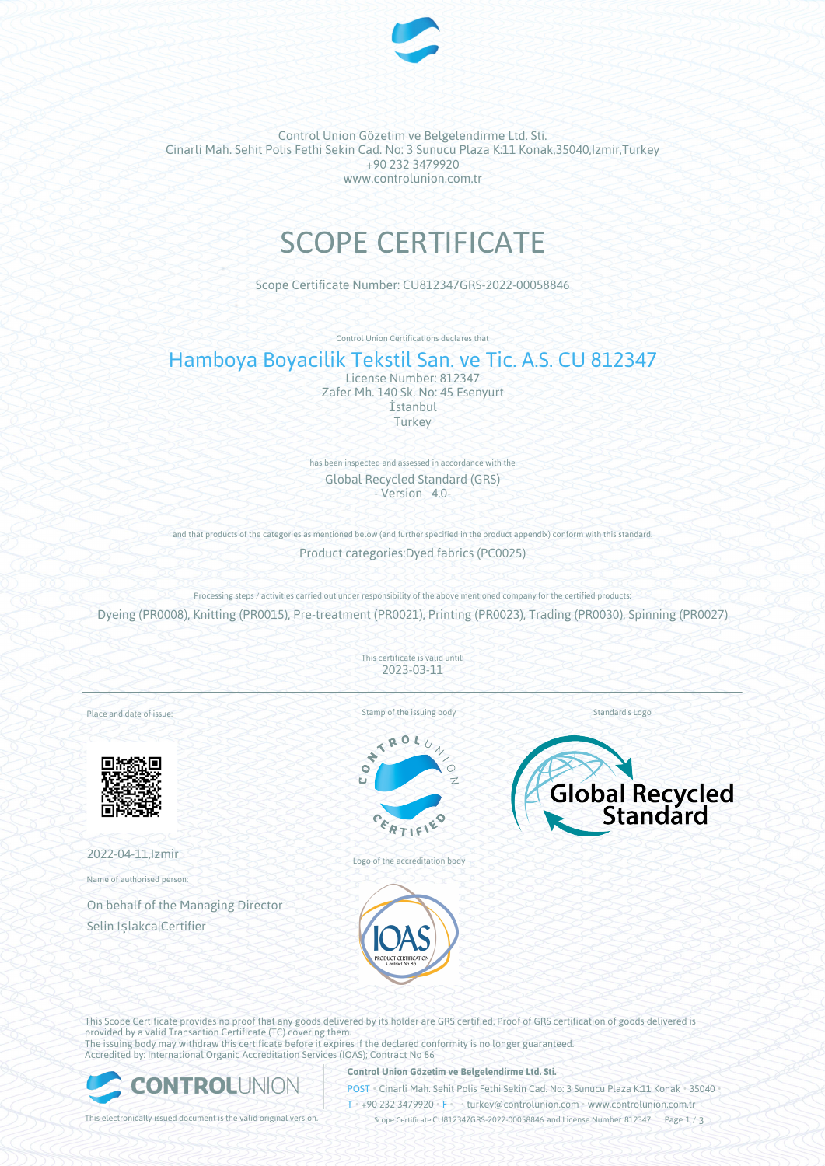

Control Union Gözetim ve Belgelendirme Ltd. Sti. Cinarli Mah. Sehit Polis Fethi Sekin Cad. No: 3 Sunucu Plaza K:11 Konak,35040,Izmir,Turkey +90 232 3479920 www.controlunion.com.tr

# SCOPE CERTIFICATE

Scope Certificate Number: CU812347GRS-2022-00058846

Control Union Certifications declares that

# Hamboya Boyacilik Tekstil San. ve Tic. A.S. CU 812347

License Number: 812347 Zafer Mh. 140 Sk. No: 45 Esenyurt İstanbul Turkey

has been inspected and assessed in accordance with the Global Recycled Standard (GRS) - Version 4.0-

and that products of the categories as mentioned below (and further specified in the product appendix) conform with this standard. Product categories:Dyed fabrics (PC0025)

Processing steps / activities carried out under responsibility of the above mentioned company for the certified products: Dyeing (PR0008), Knitting (PR0015), Pre-treatment (PR0021), Printing (PR0023), Trading (PR0030), Spinning (PR0027)

> This certificate is valid until: 2023-03-11

Place and date of issue:



2022-04-11,Izmir

Name of authorised person:

On behalf of the Managing Director Selin Işlakca|Certifier

Stamp of the issuing body



Logo of the accreditation body





Standard's Logo

This Scope Certificate provides no proof that any goods delivered by its holder are GRS certified. Proof of GRS certification of goods delivered is provided by a valid Transaction Certificate (TC) covering them. The issuing body may withdraw this certificate before it expires if the declared conformity is no longer guaranteed. Accredited by: International Organic Accreditation Services (IOAS); Contract No 86



#### **Control Union Gözetim ve Belgelendirme Ltd. Sti.**

POST • Cinarli Mah. Sehit Polis Fethi Sekin Cad. No: 3 Sunucu Plaza K:11 Konak • 35040 •

T • +90 232 3479920 • F • turkey@controlunion.com • www.controlunion.com.tr

This electronically issued document is the valid original version. Scope Certificate CU812347GRS-2022-00058846 and License Number 812347 Page 1 / 3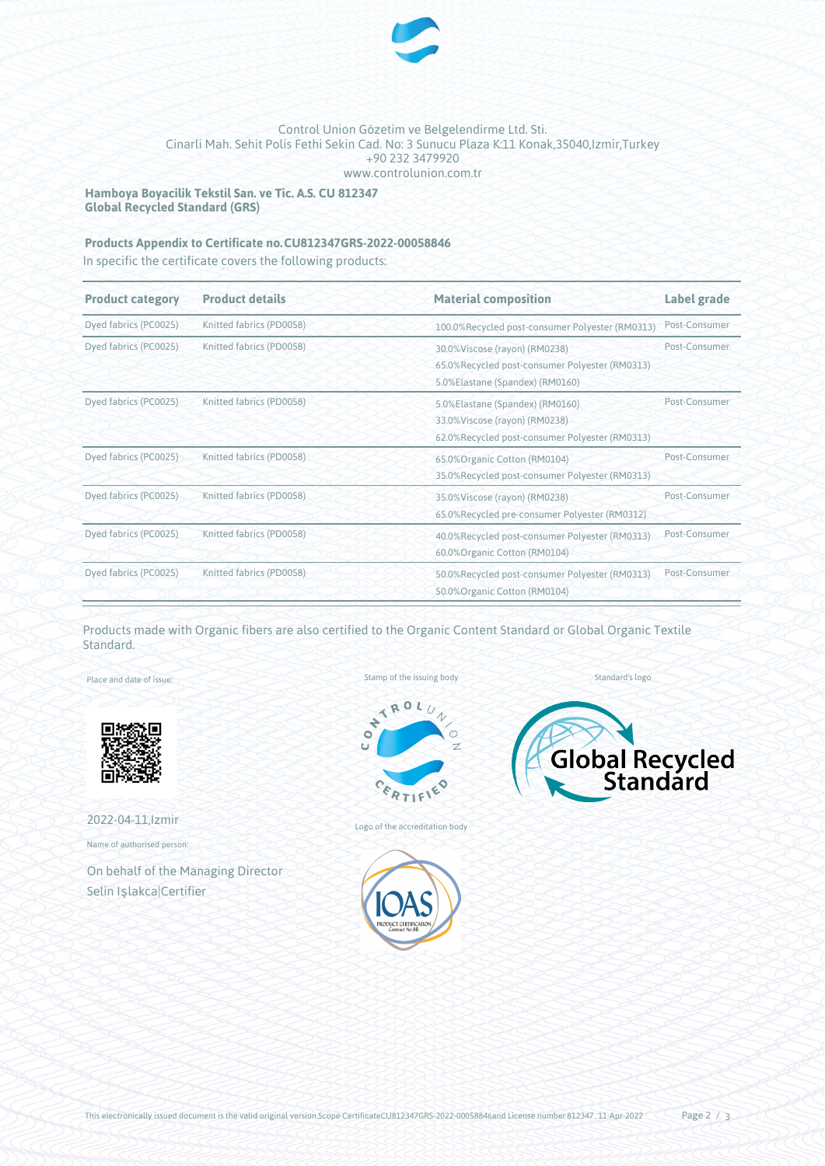

### Control Union Gözetim ve Belgelendirme Ltd. Sti. Cinarli Mah. Sehit Polis Fethi Sekin Cad. No: 3 Sunucu Plaza K:11 Konak,35040,Izmir,Turkey +90 232 3479920 www.controlunion.com.tr

**Hamboya Boyacilik Tekstil San. ve Tic. A.S. CU 812347 Global Recycled Standard (GRS)**

## **Products Appendix to Certificate no.CU812347GRS-2022-00058846**

In specific the certificate covers the following products:

| <b>Product category</b> | <b>Product details</b>   | <b>Material composition</b>                                                                                         | Label grade   |
|-------------------------|--------------------------|---------------------------------------------------------------------------------------------------------------------|---------------|
| Dyed fabrics (PC0025)   | Knitted fabrics (PD0058) | 100.0%Recycled post-consumer Polyester (RM0313)                                                                     | Post-Consumer |
| Dyed fabrics (PC0025)   | Knitted fabrics (PD0058) | 30.0%Viscose (rayon) (RM0238)<br>65.0%Recycled post-consumer Polyester (RM0313)<br>5.0%Elastane (Spandex) (RM0160)  | Post-Consumer |
| Dyed fabrics (PC0025)   | Knitted fabrics (PD0058) | 5.0%Elastane (Spandex) (RM0160)<br>33.0% Viscose (rayon) (RM0238)<br>62.0%Recycled post-consumer Polyester (RM0313) | Post-Consumer |
| Dyed fabrics (PC0025)   | Knitted fabrics (PD0058) | 65.0% Organic Cotton (RM0104)<br>35.0%Recycled post-consumer Polyester (RM0313)                                     | Post-Consumer |
| Dyed fabrics (PC0025)   | Knitted fabrics (PD0058) | 35.0%Viscose (rayon) (RM0238)<br>65.0%Recycled pre-consumer Polyester (RM0312)                                      | Post-Consumer |
| Dyed fabrics (PC0025)   | Knitted fabrics (PD0058) | 40.0%Recycled post-consumer Polyester (RM0313)<br>60.0% Organic Cotton (RM0104)                                     | Post-Consumer |
| Dyed fabrics (PC0025)   | Knitted fabrics (PD0058) | 50.0%Recycled post-consumer Polyester (RM0313)<br>50.0% Organic Cotton (RM0104)                                     | Post-Consumer |

Products made with Organic fibers are also certified to the Organic Content Standard or Global Organic Textile Standard.

Place and date of issue:



2022-04-11,Izmir

Name of authorised person:

On behalf of the Managing Director Selin Işlakca|Certifier

Stamp of the issuing body



Logo of the accreditation body



Global Recycled

Standard's logo